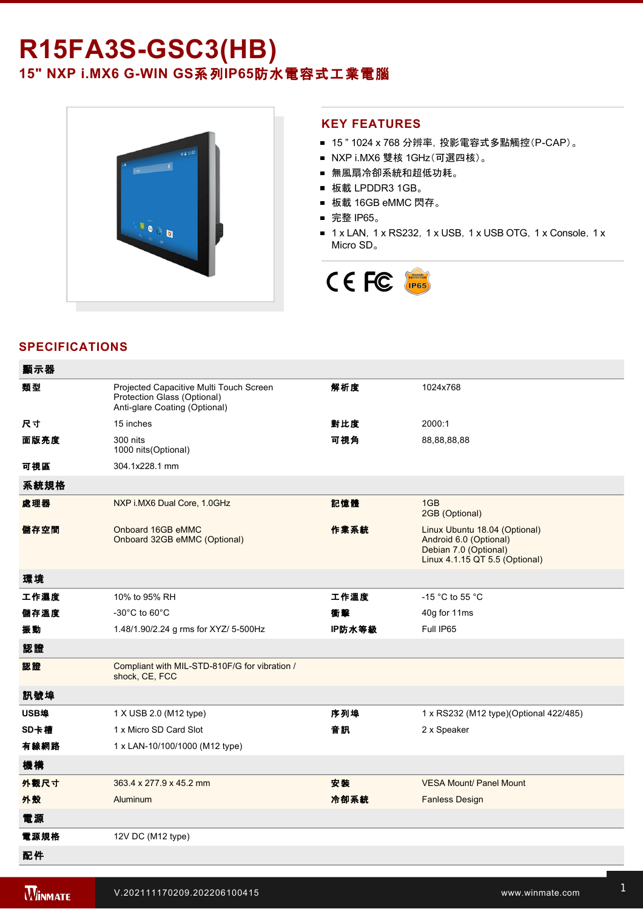# **R15FA3S-GSC3(HB)** 15" NXP i.MX6 G-WIN GS系列IP65防水電容式工業電腦



### **KEY FEATURES**

- 15" 1024 x 768 分辨率, 投影電容式多點觸控(P-CAP)。
- NXP i.MX6 雙核 1GHz(可選四核)。
- 無風扇冷卻系統和超低功耗。
- 板載 LPDDR3 1GB。
- 板載 16GB eMMC 閃存。
- 完整 IP65。
- 1 x LAN, 1 x RS232, 1 x USB, 1 x USB OTG, 1 x Console, 1 x Micro SD。



## **SPECIFICATIONS**

 $\overline{a}$ 

| 觀示斎  |                                                                                                         |        |                                                                                                                    |
|------|---------------------------------------------------------------------------------------------------------|--------|--------------------------------------------------------------------------------------------------------------------|
| 類型   | Projected Capacitive Multi Touch Screen<br>Protection Glass (Optional)<br>Anti-glare Coating (Optional) | 解析度    | 1024x768                                                                                                           |
| 尺寸   | 15 inches                                                                                               | 對比度    | 2000:1                                                                                                             |
| 面版亮度 | 300 nits<br>1000 nits (Optional)                                                                        | 可視角    | 88,88,88,88                                                                                                        |
| 可視區  | 304.1x228.1 mm                                                                                          |        |                                                                                                                    |
| 系統規格 |                                                                                                         |        |                                                                                                                    |
| 處理器  | NXP i.MX6 Dual Core, 1.0GHz                                                                             | 記憶體    | 1GB<br>2GB (Optional)                                                                                              |
| 儲存空間 | Onboard 16GB eMMC<br>Onboard 32GB eMMC (Optional)                                                       | 作業系統   | Linux Ubuntu 18.04 (Optional)<br>Android 6.0 (Optional)<br>Debian 7.0 (Optional)<br>Linux 4.1.15 QT 5.5 (Optional) |
| 環境   |                                                                                                         |        |                                                                                                                    |
| 工作濕度 | 10% to 95% RH                                                                                           | 工作溫度   | -15 $^{\circ}$ C to 55 $^{\circ}$ C                                                                                |
| 儲存溫度 | -30°C to 60°C                                                                                           | 衝擊     | 40g for 11ms                                                                                                       |
| 振動   | 1.48/1.90/2.24 g rms for XYZ/ 5-500Hz                                                                   | IP防水等級 | Full IP65                                                                                                          |
| 認證   |                                                                                                         |        |                                                                                                                    |
| 認證   | Compliant with MIL-STD-810F/G for vibration /<br>shock, CE, FCC                                         |        |                                                                                                                    |
| 訊號埠  |                                                                                                         |        |                                                                                                                    |
| USB埠 | 1 X USB 2.0 (M12 type)                                                                                  | 序列埠    | 1 x RS232 (M12 type)(Optional 422/485)                                                                             |
| SD卡槽 | 1 x Micro SD Card Slot                                                                                  | 音訊     | 2 x Speaker                                                                                                        |
| 有線網路 | 1 x LAN-10/100/1000 (M12 type)                                                                          |        |                                                                                                                    |
| 機構   |                                                                                                         |        |                                                                                                                    |
| 外觀尺寸 | 363.4 x 277.9 x 45.2 mm                                                                                 | 安装     | <b>VESA Mount/ Panel Mount</b>                                                                                     |
| 外殼   | Aluminum                                                                                                | 冷卻系統   | <b>Fanless Design</b>                                                                                              |
| 電源   |                                                                                                         |        |                                                                                                                    |
| 電源規格 | 12V DC (M12 type)                                                                                       |        |                                                                                                                    |
| 配件   |                                                                                                         |        |                                                                                                                    |

 $\mathcal{L}(\mathcal{L})$ 

配件 Quick Start Guide (Hardcopy)